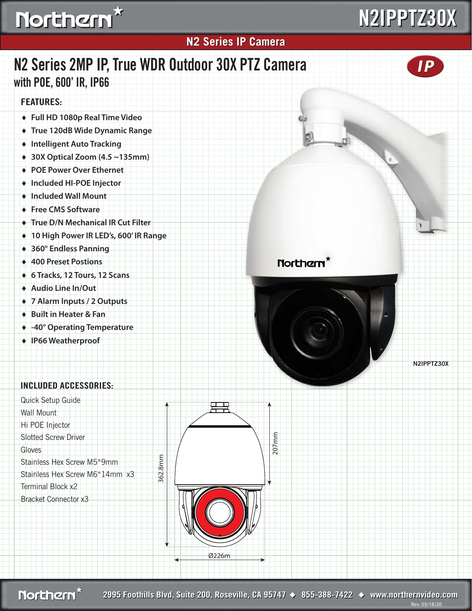## Northern<sup>\*</sup>

# **N2IPPTZ30X N2IPPTZ30X**

### **N2 Series IP Camera N2 Series IP Camera FEATURES: N2 Series 2MP IP, True WDR Outdoor 30X PTZ Camera with POE, 600' IR, IP66**

- ♦ **Full HD 1080p Real Time Video**
- ♦ **True 120dB Wide Dynamic Range**
- ♦ **Intelligent Auto Tracking**
- ♦ **30X Optical Zoom (4.5 ~135mm)**
- ♦ **POE Power Over Ethernet**
- ♦ **Included HI-POE Injector**
- ♦ **Included Wall Mount**
- ♦ **Free CMS Software**
- ♦ **True D/N Mechanical IR Cut Filter**
- ♦ **10 High Power IR LED's, 600' IR Range**
- ♦ **360° Endless Panning**
- ♦ **400 Preset Postions**
- ♦ **6 Tracks, 12 Tours, 12 Scans**
- ♦ **Audio Line In/Out**
- ♦ **7 Alarm Inputs / 2 Outputs**
- ♦ **Built in Heater & Fan**
- ♦ **-40° Operating Temperature**
- ♦ **IP66 Weatherproof**

#### **INCLUDED ACCESSORIES:**

Quick Setup Guide Wall Mount Hi POE Injector Slotted Screw Driver **Gloves** Stainless Hex Screw M5\*9mm Stainless Hex Screw M6\*14mm x3 Terminal Block x2 Bracket Connector x3







**N2IPPTZ30X**

Northern<sup>x</sup>